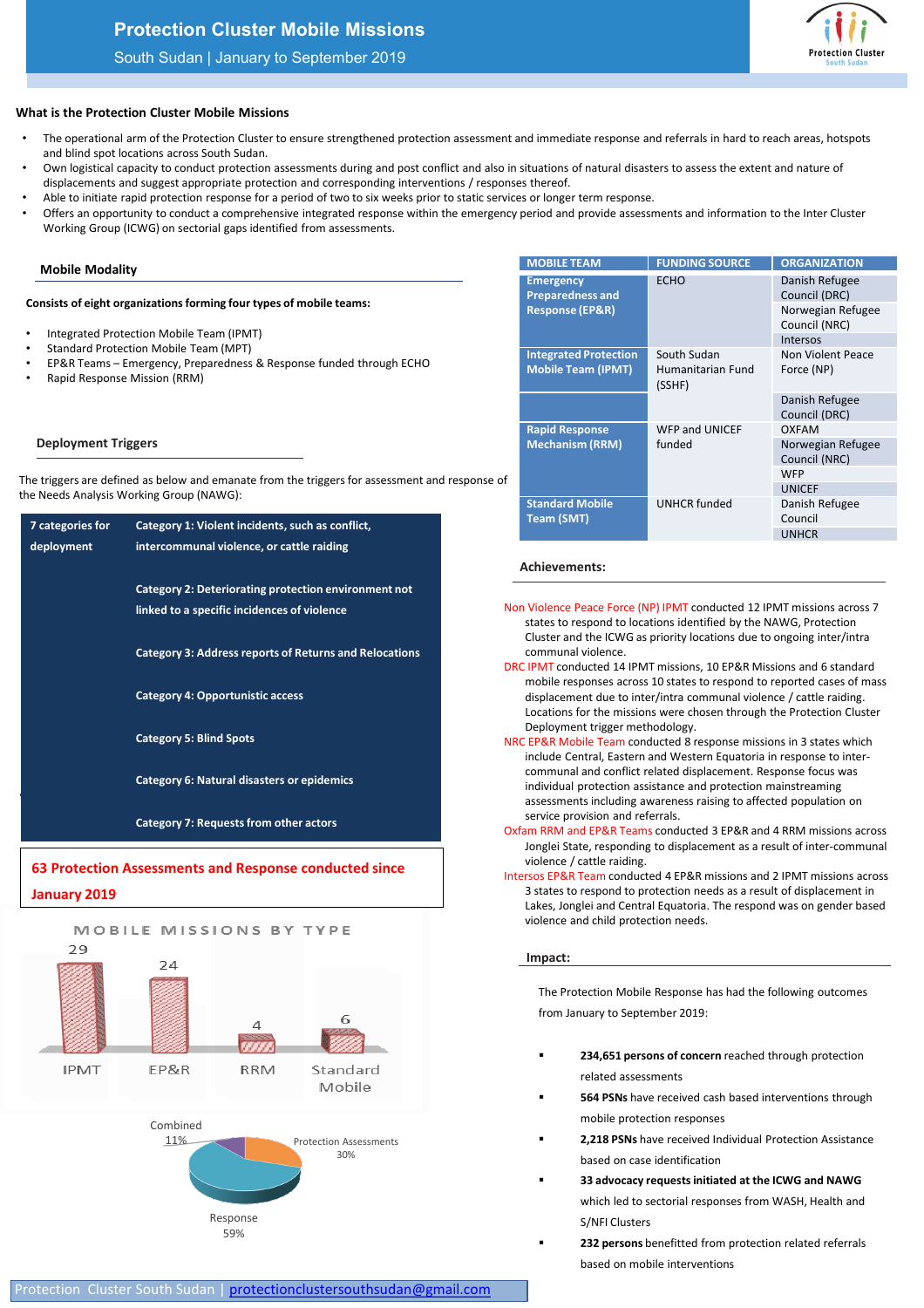# **Protection Cluster Mobile Missions**

## South Sudan | January to September 2019



## **What is the Protection Cluster Mobile Missions**

- **23,21** The operational arm of the Protection Cluster to ensure strengthened protection assessment and immediate response and referrals in hard to reach areas, hotspots and blind spot locations across South Sudan.
- Own logistical capacity to conduct protection assessments during and post conflict and also in situations of natural disasters to assess the extent and nature of displacements and suggest appropriate protection and corresponding interventions / responses thereof.
- Able to initiate rapid protection response for a period of two to six weeks prior to static services or longer term response.
- Offers an opportunity to conduct a comprehensive integrated response within the emergency period and provide assessments and information to the Inter Cluster Working Group (ICWG) on sectorial gaps identified from assessments.

#### **Mobile Modality**

#### **Consists of eight organizations forming four types of mobile teams:**

- Integrated Protection Mobile Team (IPMT)
- Standard Protection Mobile Team (MPT)
- EP&R Teams Emergency, Preparedness & Response funded through ECHO
- Rapid Response Mission (RRM)

# **Deployment Triggers**

The triggers are defined as below and emanate from the triggers for assessment and response of the Needs Analysis Working Group (NAWG):

| 7 categories for | Category 1: Violent incidents, such as conflict,              | <b>Team (SMT)</b>                                                                                                                                                                                                                              | Council<br><b>UNHCR</b> |
|------------------|---------------------------------------------------------------|------------------------------------------------------------------------------------------------------------------------------------------------------------------------------------------------------------------------------------------------|-------------------------|
| deployment       | intercommunal violence, or cattle raiding                     |                                                                                                                                                                                                                                                |                         |
|                  |                                                               | <b>Achievements:</b>                                                                                                                                                                                                                           |                         |
|                  | Category 2: Deteriorating protection environment not          |                                                                                                                                                                                                                                                |                         |
|                  | linked to a specific incidences of violence                   | Non Violence Peace Force (NP) IPMT conducted 12 IPMT missi<br>states to respond to locations identified by the NAWG, Pro<br>Cluster and the ICWG as priority locations due to ongoing                                                          |                         |
|                  | <b>Category 3: Address reports of Returns and Relocations</b> | communal violence.                                                                                                                                                                                                                             |                         |
|                  | <b>Category 4: Opportunistic access</b>                       | DRC IPMT conducted 14 IPMT missions, 10 EP&R Missions and<br>mobile responses across 10 states to respond to reported<br>displacement due to inter/intra communal violence / cattl<br>Locations for the missions were chosen through the Prote |                         |
|                  | <b>Category 5: Blind Spots</b>                                | Deployment trigger methodology.<br>NRC EP&R Mobile Team conducted 8 response missions in 3 st<br>include Central, Eastern and Western Equatoria in respons                                                                                     |                         |
|                  | <b>Category 6: Natural disasters or epidemics</b>             | communal and conflict related displacement. Response fo<br>individual protection assistance and protection mainstrear<br>assessments including awareness raising to affected popu                                                              |                         |
|                  | <b>Category 7: Requests from other actors</b>                 | service provision and referrals.<br>Oxfam RRM and EP&R Teams conducted 3 EP&R and 4 RRM m                                                                                                                                                      |                         |
|                  | 62 Drotoction Assossments and Pesnanse conducted since        | Jonglei State, responding to displacement as a result of int<br>violence / cattle raiding.                                                                                                                                                     |                         |





59%

| <b>MOBILE TEAM</b>                                        | <b>FUNDING SOURCE</b>                      | <b>ORGANIZATION</b>                |
|-----------------------------------------------------------|--------------------------------------------|------------------------------------|
| <b>Emergency</b><br><b>Preparedness and</b>               | <b>ECHO</b>                                | Danish Refugee<br>Council (DRC)    |
| <b>Response (EP&amp;R)</b>                                |                                            | Norwegian Refugee<br>Council (NRC) |
|                                                           |                                            | Intersos                           |
| <b>Integrated Protection</b><br><b>Mobile Team (IPMT)</b> | South Sudan<br>Humanitarian Fund<br>(SSHF) | Non Violent Peace<br>Force (NP)    |
|                                                           |                                            | Danish Refugee<br>Council (DRC)    |
| <b>Rapid Response</b>                                     | <b>WFP and UNICEF</b><br>funded            | OXFAM                              |
| <b>Mechanism (RRM)</b>                                    |                                            | Norwegian Refugee<br>Council (NRC) |
|                                                           |                                            | <b>WFP</b>                         |
|                                                           |                                            | <b>UNICEF</b>                      |
| <b>Standard Mobile</b><br><b>Team (SMT)</b>               | <b>UNHCR</b> funded                        | Danish Refugee<br>Council          |
|                                                           |                                            | <b>UNHCR</b>                       |

### **Achievements:**

- Non Violence Peace Force (NP) IPMT conducted 12 IPMT missions across 7 states to respond to locations identified by the NAWG, Protection Cluster and the ICWG as priority locations due to ongoing inter/intra communal violence.
- DRC IPMT conducted 14 IPMT missions, 10 EP&R Missions and 6 standard mobile responses across 10 states to respond to reported cases of mass displacement due to inter/intra communal violence / cattle raiding. Locations for the missions were chosen through the Protection Cluster Deployment trigger methodology.
- NRC EP&R Mobile Team conducted 8 response missions in 3 states which include Central, Eastern and Western Equatoria in response to intercommunal and conflict related displacement. Response focus was individual protection assistance and protection mainstreaming assessments including awareness raising to affected population on service provision and referrals.
- Oxfam RRM and EP&R Teams conducted 3 EP&R and 4 RRM missions across Jonglei State, responding to displacement as a result of inter-communal violence / cattle raiding.
- Intersos EP&R Team conducted 4 EP&R missions and 2 IPMT missions across 3 states to respond to protection needs as a result of displacement in Lakes, Jonglei and Central Equatoria. The respond was on gender based violence and child protection needs.

#### **Impact:**

The Protection Mobile Response has had the following outcomes from January to September 2019:

- **234,651 persons of concern** reached through protection related assessments
- **564 PSNs** have received cash based interventions through mobile protection responses
- **2,218 PSNs** have received Individual Protection Assistance based on case identification
- **33 advocacy requests initiated at the ICWG and NAWG** which led to sectorial responses from WASH, Health and S/NFI Clusters
- **232 persons** benefitted from protection related referrals based on mobile interventions